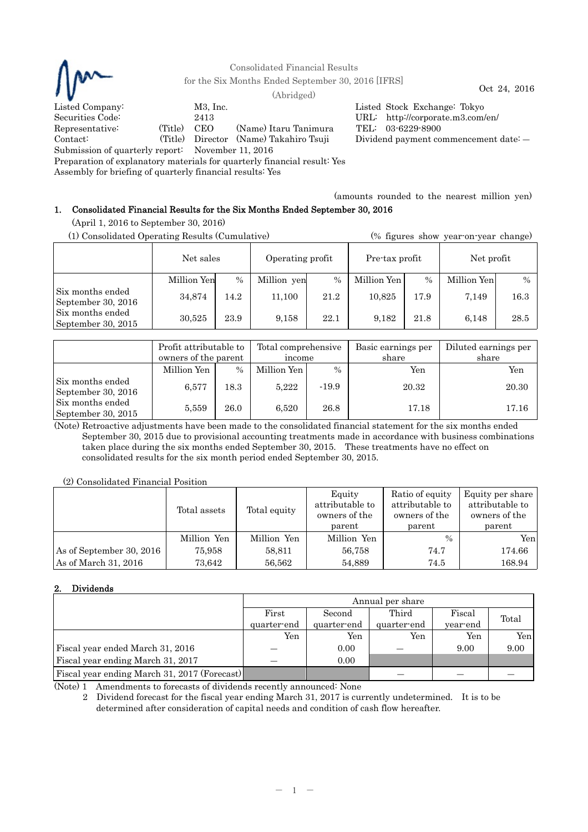

Consolidated Financial Results

for the Six Months Ended September 30, 2016 [IFRS] Oct 24, 2016 (Abridged)

Listed Company: M3, Inc. Listed Stock Exchange: Tokyo Securities Code: 2413 URL: http://corporate.m3.com/en/ Representative: (Title) CEO (Name) Itaru Tanimura TEL: 03-6229-8900 Contact: (Title) Director (Name) Takahiro Tsuji Dividend payment commencement date: ― Submission of quarterly report: November 11, 2016

Preparation of explanatory materials for quarterly financial result: Yes

Assembly for briefing of quarterly financial results: Yes

(amounts rounded to the nearest million yen)

# 1. Consolidated Financial Results for the Six Months Ended September 30, 2016

(April 1, 2016 to September 30, 2016)

| (1) Consolidated Operating Results (Cumulative) |             |      |                  |      | (% figures show year-on-year change) |               |             |               |
|-------------------------------------------------|-------------|------|------------------|------|--------------------------------------|---------------|-------------|---------------|
|                                                 | Net sales   |      | Operating profit |      | Pre-tax profit                       |               | Net profit  |               |
|                                                 | Million Yen | $\%$ | Million yen      | $\%$ | Million Yen                          | $\frac{0}{0}$ | Million Yen | $\frac{0}{0}$ |
| Six months ended<br>September 30, 2016          | 34,874      | 14.2 | 11,100           | 21.2 | 10.825                               | 17.9          | 7,149       | 16.3          |
| Six months ended<br>September 30, 2015          | 30.525      | 23.9 | 9,158            | 22.1 | 9.182                                | 21.8          | 6.148       | 28.5          |

|                                        | Profit attributable to<br>owners of the parent |               | Total comprehensive<br>income |         | Basic earnings per<br>share | Diluted earnings per<br>share |
|----------------------------------------|------------------------------------------------|---------------|-------------------------------|---------|-----------------------------|-------------------------------|
|                                        | Million Yen                                    | $\frac{0}{0}$ | Million Yen                   | $\%$    | Yen                         | Yen                           |
| Six months ended<br>September 30, 2016 | 6,577                                          | 18.3          | 5,222                         | $-19.9$ | 20.32                       | 20.30                         |
| Six months ended<br>September 30, 2015 | 5,559                                          | 26.0          | 6,520                         | 26.8    | 17.18                       | 17.16                         |

(Note) Retroactive adjustments have been made to the consolidated financial statement for the six months ended September 30, 2015 due to provisional accounting treatments made in accordance with business combinations taken place during the six months ended September 30, 2015. These treatments have no effect on consolidated results for the six month period ended September 30, 2015.

(2) Consolidated Financial Position

|                          | Total assets | Total equity | Equity<br>attributable to<br>owners of the<br>parent | Ratio of equity<br>attributable to<br>owners of the<br>parent | Equity per share<br>attributable to<br>owners of the<br>parent |
|--------------------------|--------------|--------------|------------------------------------------------------|---------------------------------------------------------------|----------------------------------------------------------------|
|                          | Million Yen  | Million Yen  | Million Yen                                          | $\frac{0}{0}$                                                 | Yen                                                            |
| As of September 30, 2016 | 75.958       | 58.811       | 56.758                                               | 74.7                                                          | 174.66                                                         |
| As of March 31, 2016     | 73.642       | 56,562       | 54.889                                               | 74.5                                                          | 168.94                                                         |

# 2. Dividends

|                                              | Annual per share |             |             |          |       |  |  |
|----------------------------------------------|------------------|-------------|-------------|----------|-------|--|--|
|                                              | First            | Second      | Third       | Fiscal   | Total |  |  |
|                                              | quarter-end      | quarter-end | quarter-end | year-end |       |  |  |
|                                              | Yen              | Yen         | Yen         | Yen      | Yen   |  |  |
| Fiscal year ended March 31, 2016             |                  | 0.00        |             | 9.00     | 9.00  |  |  |
| Fiscal year ending March 31, 2017            |                  | 0.00        |             |          |       |  |  |
| Fiscal year ending March 31, 2017 (Forecast) |                  |             |             |          |       |  |  |

(Note) 1 Amendments to forecasts of dividends recently announced: None

2 Dividend forecast for the fiscal year ending March 31, 2017 is currently undetermined. It is to be determined after consideration of capital needs and condition of cash flow hereafter.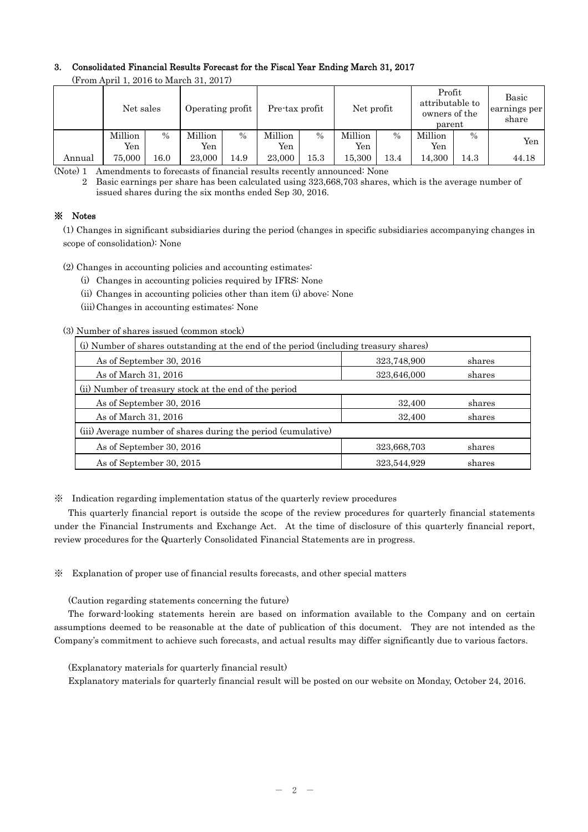# 3. Consolidated Financial Results Forecast for the Fiscal Year Ending March 31, 2017

|        | $($ r rom April 1, 2010 to march 31, 2017) |               |                  |               |                |                              |                |                                                      |                |                                |       |
|--------|--------------------------------------------|---------------|------------------|---------------|----------------|------------------------------|----------------|------------------------------------------------------|----------------|--------------------------------|-------|
|        | Net sales                                  |               | Operating profit |               |                | Net profit<br>Pre-tax profit |                | Profit<br>attributable to<br>owners of the<br>parent |                | Basic<br>earnings per<br>share |       |
|        | Million<br>Yen                             | $\frac{0}{0}$ | Million<br>Yen   | $\frac{0}{0}$ | Million<br>Yen | $\%$                         | Million<br>Yen | $\frac{0}{0}$                                        | Million<br>Yen | $\frac{0}{0}$                  | Yen   |
| Annual | 75.000                                     | $16.0\,$      | 23,000           | 14.9          | 23,000         | 15.3                         | 15.300         | 13.4                                                 | 14,300         | 14.3                           | 44.18 |

(From April 1, 2016 to March 31, 2017)

(Note) 1 Amendments to forecasts of financial results recently announced: None

2 Basic earnings per share has been calculated using 323,668,703 shares, which is the average number of issued shares during the six months ended Sep 30, 2016.

## ※ Notes

(1) Changes in significant subsidiaries during the period (changes in specific subsidiaries accompanying changes in scope of consolidation): None

(2) Changes in accounting policies and accounting estimates:

- (i) Changes in accounting policies required by IFRS: None
- (ii) Changes in accounting policies other than item (i) above: None
- (iii) Changes in accounting estimates: None

## (3) Number of shares issued (common stock)

| (i) Number of shares outstanding at the end of the period (including treasury shares) |             |        |  |  |  |
|---------------------------------------------------------------------------------------|-------------|--------|--|--|--|
| As of September 30, 2016                                                              | 323,748,900 | shares |  |  |  |
| As of March 31, 2016                                                                  | 323,646,000 | shares |  |  |  |
| (ii) Number of treasury stock at the end of the period                                |             |        |  |  |  |
| As of September 30, 2016                                                              | 32,400      | shares |  |  |  |
| As of March 31, 2016                                                                  | 32,400      | shares |  |  |  |
| (iii) Average number of shares during the period (cumulative)                         |             |        |  |  |  |
| As of September 30, 2016                                                              | 323,668,703 | shares |  |  |  |
| As of September 30, 2015                                                              | 323,544,929 | shares |  |  |  |

※ Indication regarding implementation status of the quarterly review procedures

This quarterly financial report is outside the scope of the review procedures for quarterly financial statements under the Financial Instruments and Exchange Act. At the time of disclosure of this quarterly financial report, review procedures for the Quarterly Consolidated Financial Statements are in progress.

※ Explanation of proper use of financial results forecasts, and other special matters

(Caution regarding statements concerning the future)

The forward-looking statements herein are based on information available to the Company and on certain assumptions deemed to be reasonable at the date of publication of this document. They are not intended as the Company's commitment to achieve such forecasts, and actual results may differ significantly due to various factors.

(Explanatory materials for quarterly financial result)

Explanatory materials for quarterly financial result will be posted on our website on Monday, October 24, 2016.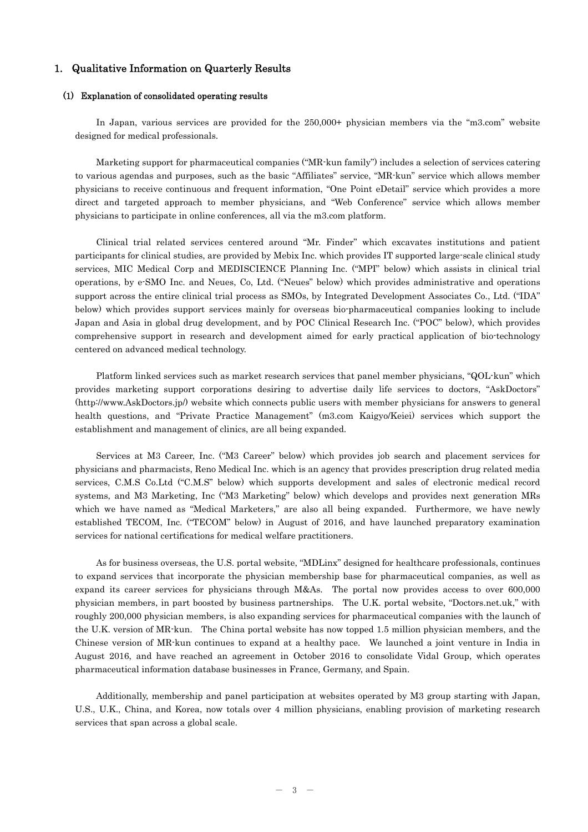### 1. Qualitative Information on Quarterly Results

#### (1) Explanation of consolidated operating results

In Japan, various services are provided for the 250,000+ physician members via the "m3.com" website designed for medical professionals.

Marketing support for pharmaceutical companies ("MR-kun family") includes a selection of services catering to various agendas and purposes, such as the basic "Affiliates" service, "MR-kun" service which allows member physicians to receive continuous and frequent information, "One Point eDetail" service which provides a more direct and targeted approach to member physicians, and "Web Conference" service which allows member physicians to participate in online conferences, all via the m3.com platform.

Clinical trial related services centered around "Mr. Finder" which excavates institutions and patient participants for clinical studies, are provided by Mebix Inc. which provides IT supported large-scale clinical study services, MIC Medical Corp and MEDISCIENCE Planning Inc. ("MPI" below) which assists in clinical trial operations, by e-SMO Inc. and Neues, Co, Ltd. ("Neues" below) which provides administrative and operations support across the entire clinical trial process as SMOs, by Integrated Development Associates Co., Ltd. ("IDA" below) which provides support services mainly for overseas bio-pharmaceutical companies looking to include Japan and Asia in global drug development, and by POC Clinical Research Inc. ("POC" below), which provides comprehensive support in research and development aimed for early practical application of bio-technology centered on advanced medical technology.

Platform linked services such as market research services that panel member physicians, "QOL-kun" which provides marketing support corporations desiring to advertise daily life services to doctors, "AskDoctors" (http://www.AskDoctors.jp/) website which connects public users with member physicians for answers to general health questions, and "Private Practice Management" (m3.com Kaigyo/Keiei) services which support the establishment and management of clinics, are all being expanded.

Services at M3 Career, Inc. ("M3 Career" below) which provides job search and placement services for physicians and pharmacists, Reno Medical Inc. which is an agency that provides prescription drug related media services, C.M.S Co.Ltd ("C.M.S" below) which supports development and sales of electronic medical record systems, and M3 Marketing, Inc ("M3 Marketing" below) which develops and provides next generation MRs which we have named as "Medical Marketers," are also all being expanded. Furthermore, we have newly established TECOM, Inc. ("TECOM" below) in August of 2016, and have launched preparatory examination services for national certifications for medical welfare practitioners.

As for business overseas, the U.S. portal website, "MDLinx" designed for healthcare professionals, continues to expand services that incorporate the physician membership base for pharmaceutical companies, as well as expand its career services for physicians through M&As. The portal now provides access to over 600,000 physician members, in part boosted by business partnerships. The U.K. portal website, "Doctors.net.uk," with roughly 200,000 physician members, is also expanding services for pharmaceutical companies with the launch of the U.K. version of MR-kun. The China portal website has now topped 1.5 million physician members, and the Chinese version of MR-kun continues to expand at a healthy pace. We launched a joint venture in India in August 2016, and have reached an agreement in October 2016 to consolidate Vidal Group, which operates pharmaceutical information database businesses in France, Germany, and Spain.

Additionally, membership and panel participation at websites operated by M3 group starting with Japan, U.S., U.K., China, and Korea, now totals over 4 million physicians, enabling provision of marketing research services that span across a global scale.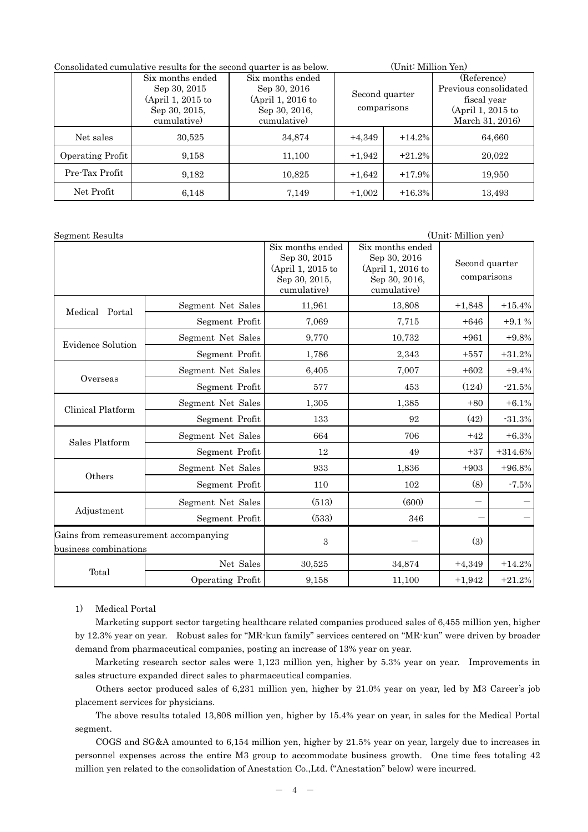| Consolidated cumulative results for the second quarter is as below. |                                                                        |                                                                        |                               | (Unit: Million Yen) |                                                                          |  |  |
|---------------------------------------------------------------------|------------------------------------------------------------------------|------------------------------------------------------------------------|-------------------------------|---------------------|--------------------------------------------------------------------------|--|--|
|                                                                     | Six months ended<br>Sep 30, 2015<br>(April 1, 2015 to<br>Sep 30, 2015, | Six months ended<br>Sep 30, 2016<br>(April 1, 2016 to<br>Sep 30, 2016, | Second quarter<br>comparisons |                     | (Reference)<br>Previous consolidated<br>fiscal year<br>(April 1, 2015 to |  |  |
|                                                                     | cumulative)                                                            | cumulative)                                                            |                               |                     | March 31, 2016)                                                          |  |  |
| Net sales                                                           | 30,525                                                                 | 34,874                                                                 | $+4,349$                      | $+14.2%$            | 64,660                                                                   |  |  |
| Operating Profit                                                    | 9,158                                                                  | 11,100                                                                 | $+1,942$                      | $+21.2%$            | 20,022                                                                   |  |  |
| Pre-Tax Profit                                                      | 9,182                                                                  | 10,825                                                                 | $+1,642$                      | $+17.9%$            | 19,950                                                                   |  |  |
| Net Profit                                                          | 6,148                                                                  | 7,149                                                                  | $+1,002$                      | $+16.3%$            | 13,493                                                                   |  |  |

| Segment Results                                                |                   |                                                                                       |                                                                                       | (Unit: Million yen)           |           |
|----------------------------------------------------------------|-------------------|---------------------------------------------------------------------------------------|---------------------------------------------------------------------------------------|-------------------------------|-----------|
|                                                                |                   | Six months ended<br>Sep 30, 2015<br>(April 1, 2015 to<br>Sep 30, 2015,<br>cumulative) | Six months ended<br>Sep 30, 2016<br>(April 1, 2016 to<br>Sep 30, 2016,<br>cumulative) | Second quarter<br>comparisons |           |
| Medical Portal                                                 | Segment Net Sales | 11,961                                                                                | 13,808                                                                                | $+1,848$                      | $+15.4%$  |
|                                                                | Segment Profit    | 7,069                                                                                 | 7,715                                                                                 | $+646$                        | $+9.1%$   |
| <b>Evidence Solution</b>                                       | Segment Net Sales | 9,770                                                                                 | 10,732                                                                                | $+961$                        | $+9.8%$   |
|                                                                | Segment Profit    | 1,786                                                                                 | 2,343                                                                                 | $+557$                        | $+31.2%$  |
|                                                                | Segment Net Sales | 6,405                                                                                 | 7,007                                                                                 | $+602$                        | $+9.4%$   |
| Overseas                                                       | Segment Profit    | 577                                                                                   | 453                                                                                   | (124)                         | $-21.5%$  |
| Clinical Platform                                              | Segment Net Sales | 1,305                                                                                 | 1,385                                                                                 | $+80$                         | $+6.1%$   |
|                                                                | Segment Profit    | 133                                                                                   | 92                                                                                    | (42)                          | $-31.3%$  |
| Sales Platform                                                 | Segment Net Sales | 664                                                                                   | 706                                                                                   | $+42$                         | $+6.3%$   |
|                                                                | Segment Profit    | 12                                                                                    | 49                                                                                    | $+37$                         | $+314.6%$ |
|                                                                | Segment Net Sales | 933                                                                                   | 1,836                                                                                 | $+903$                        | $+96.8%$  |
| Others                                                         | Segment Profit    | 110                                                                                   | 102                                                                                   | (8)                           | $-7.5%$   |
|                                                                | Segment Net Sales | (513)                                                                                 | (600)                                                                                 | $\overline{\phantom{m}}$      |           |
| Adjustment                                                     | Segment Profit    | (533)                                                                                 | 346                                                                                   |                               |           |
| Gains from remeasurement accompanying<br>business combinations |                   | $\,3$                                                                                 | (3)                                                                                   |                               |           |
|                                                                | Net Sales         | 30,525                                                                                | 34,874                                                                                | $+4,349$                      | $+14.2%$  |
| Total                                                          | Operating Profit  | 9,158                                                                                 | 11,100                                                                                | $+1,942$                      | $+21.2%$  |

1) Medical Portal

Marketing support sector targeting healthcare related companies produced sales of 6,455 million yen, higher by 12.3% year on year. Robust sales for "MR-kun family" services centered on "MR-kun" were driven by broader demand from pharmaceutical companies, posting an increase of 13% year on year.

Marketing research sector sales were 1,123 million yen, higher by 5.3% year on year. Improvements in sales structure expanded direct sales to pharmaceutical companies.

Others sector produced sales of 6,231 million yen, higher by 21.0% year on year, led by M3 Career's job placement services for physicians.

The above results totaled 13,808 million yen, higher by 15.4% year on year, in sales for the Medical Portal segment.

 COGS and SG&A amounted to 6,154 million yen, higher by 21.5% year on year, largely due to increases in personnel expenses across the entire M3 group to accommodate business growth. One time fees totaling 42 million yen related to the consolidation of Anestation Co.,Ltd. ("Anestation" below) were incurred.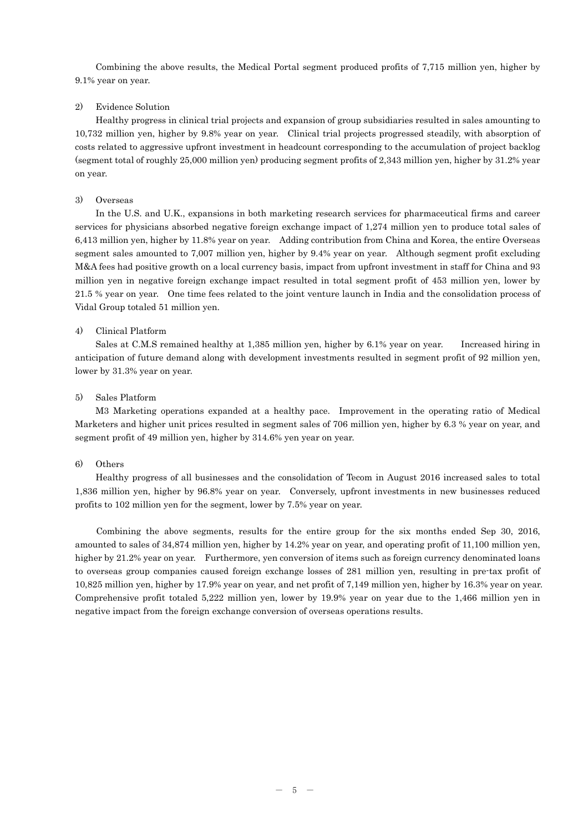Combining the above results, the Medical Portal segment produced profits of 7,715 million yen, higher by 9.1% year on year.

### 2) Evidence Solution

Healthy progress in clinical trial projects and expansion of group subsidiaries resulted in sales amounting to 10,732 million yen, higher by 9.8% year on year. Clinical trial projects progressed steadily, with absorption of costs related to aggressive upfront investment in headcount corresponding to the accumulation of project backlog (segment total of roughly 25,000 million yen) producing segment profits of 2,343 million yen, higher by 31.2% year on year.

### 3) Overseas

In the U.S. and U.K., expansions in both marketing research services for pharmaceutical firms and career services for physicians absorbed negative foreign exchange impact of 1,274 million yen to produce total sales of 6,413 million yen, higher by 11.8% year on year. Adding contribution from China and Korea, the entire Overseas segment sales amounted to 7,007 million yen, higher by 9.4% year on year. Although segment profit excluding M&A fees had positive growth on a local currency basis, impact from upfront investment in staff for China and 93 million yen in negative foreign exchange impact resulted in total segment profit of 453 million yen, lower by 21.5 % year on year. One time fees related to the joint venture launch in India and the consolidation process of Vidal Group totaled 51 million yen.

### 4) Clinical Platform

Sales at C.M.S remained healthy at 1,385 million yen, higher by 6.1% year on year. Increased hiring in anticipation of future demand along with development investments resulted in segment profit of 92 million yen, lower by 31.3% year on year.

### 5) Sales Platform

M3 Marketing operations expanded at a healthy pace. Improvement in the operating ratio of Medical Marketers and higher unit prices resulted in segment sales of 706 million yen, higher by 6.3 % year on year, and segment profit of 49 million yen, higher by 314.6% yen year on year.

#### 6) Others

Healthy progress of all businesses and the consolidation of Tecom in August 2016 increased sales to total 1,836 million yen, higher by 96.8% year on year. Conversely, upfront investments in new businesses reduced profits to 102 million yen for the segment, lower by 7.5% year on year.

Combining the above segments, results for the entire group for the six months ended Sep 30, 2016, amounted to sales of 34,874 million yen, higher by 14.2% year on year, and operating profit of 11,100 million yen, higher by 21.2% year on year. Furthermore, yen conversion of items such as foreign currency denominated loans to overseas group companies caused foreign exchange losses of 281 million yen, resulting in pre-tax profit of 10,825 million yen, higher by 17.9% year on year, and net profit of 7,149 million yen, higher by 16.3% year on year. Comprehensive profit totaled 5,222 million yen, lower by 19.9% year on year due to the 1,466 million yen in negative impact from the foreign exchange conversion of overseas operations results.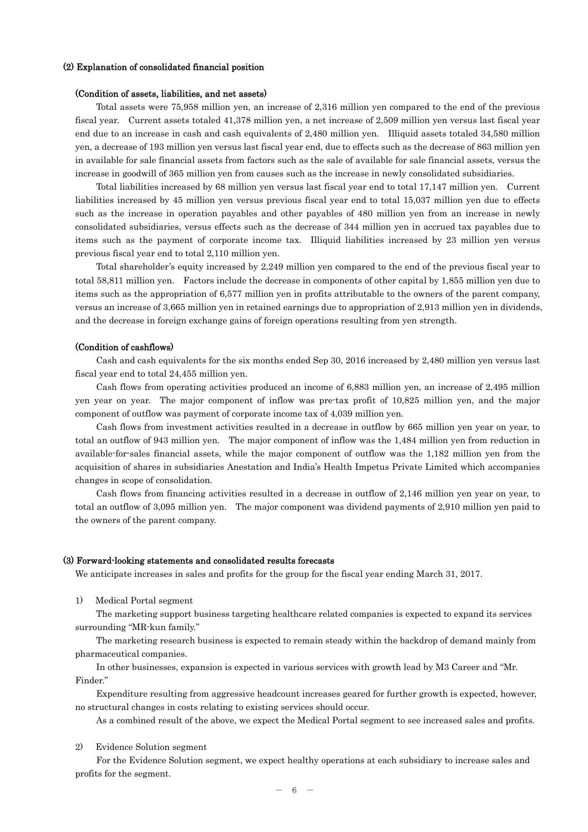#### (2) Explanation of consolidated financial position

#### (Condition of assets, liabilities, and net assets)

Total assets were 75,958 million yen, an increase of 2,316 million yen compared to the end of the previous fiscal year. Current assets totaled 41,378 million yen, a net increase of 2,509 million yen versus last fiscal year end due to an increase in cash and cash equivalents of 2,480 million yen. Illiquid assets totaled 34,580 million yen, a decrease of 193 million yen versus last fiscal year end, due to effects such as the decrease of 863 million yen in available for sale financial assets from factors such as the sale of available for sale financial assets, versus the increase in goodwill of 365 million yen from causes such as the increase in newly consolidated subsidiaries.

Total liabilities increased by 68 million yen versus last fiscal year end to total 17,147 million yen. Current liabilities increased by 45 million yen versus previous fiscal year end to total 15,037 million yen due to effects such as the increase in operation payables and other payables of 480 million yen from an increase in newly consolidated subsidiaries, versus effects such as the decrease of 344 million yen in accrued tax payables due to items such as the payment of corporate income tax. Illiquid liabilities increased by 23 million yen versus previous fiscal year end to total 2,110 million yen.

Total shareholder's equity increased by 2,249 million yen compared to the end of the previous fiscal year to total 58,811 million yen. Factors include the decrease in components of other capital by 1,855 million yen due to items such as the appropriation of 6,577 million yen in profits attributable to the owners of the parent company, versus an increase of 3,665 million yen in retained earnings due to appropriation of 2,913 million yen in dividends, and the decrease in foreign exchange gains of foreign operations resulting from yen strength.

#### (Condition of cashflows)

Cash and cash equivalents for the six months ended Sep 30, 2016 increased by 2,480 million yen versus last fiscal year end to total 24,455 million yen.

Cash flows from operating activities produced an income of 6,883 million yen, an increase of 2,495 million yen year on year. The major component of inflow was pre-tax profit of 10,825 million yen, and the major component of outflow was payment of corporate income tax of 4,039 million yen.

Cash flows from investment activities resulted in a decrease in outflow by 665 million yen year on year, to total an outflow of 943 million yen. The major component of inflow was the 1,484 million yen from reduction in available-for-sales financial assets, while the major component of outflow was the 1,182 million yen from the acquisition of shares in subsidiaries Anestation and India's Health Impetus Private Limited which accompanies changes in scope of consolidation.

Cash flows from financing activities resulted in a decrease in outflow of 2,146 million yen year on year, to total an outflow of 3,095 million yen. The major component was dividend payments of 2,910 million yen paid to the owners of the parent company.

#### (3) Forward-looking statements and consolidated results forecasts

We anticipate increases in sales and profits for the group for the fiscal year ending March 31, 2017.

1) Medical Portal segment

The marketing support business targeting healthcare related companies is expected to expand its services surrounding "MR-kun family."

The marketing research business is expected to remain steady within the backdrop of demand mainly from pharmaceutical companies.

In other businesses, expansion is expected in various services with growth lead by M3 Career and "Mr. Finder."

Expenditure resulting from aggressive headcount increases geared for further growth is expected, however, no structural changes in costs relating to existing services should occur.

As a combined result of the above, we expect the Medical Portal segment to see increased sales and profits.

2) Evidence Solution segment

For the Evidence Solution segment, we expect healthy operations at each subsidiary to increase sales and profits for the segment.